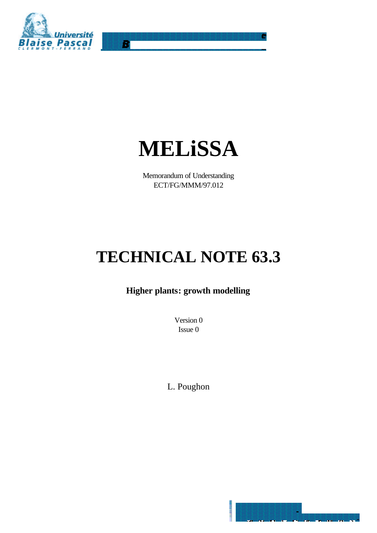

R.



Memorandum of Understanding ECT/FG/MMM/97.012

# **TECHNICAL NOTE 63.3**

# **Higher plants: growth modelling**

Version 0 Issue 0

L. Poughon

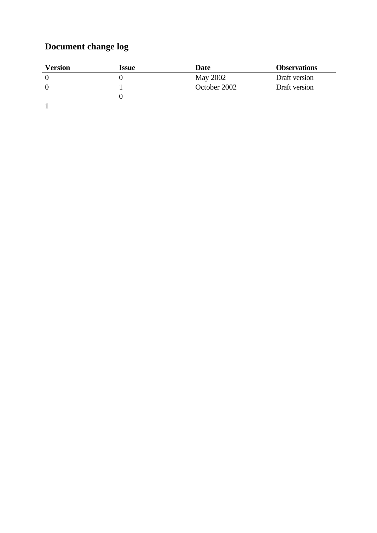# **Document change log**

| Version | Issue | Date         | <b>Observations</b> |
|---------|-------|--------------|---------------------|
|         |       | May 2002     | Draft version       |
|         |       | October 2002 | Draft version       |
|         |       |              |                     |
|         |       |              |                     |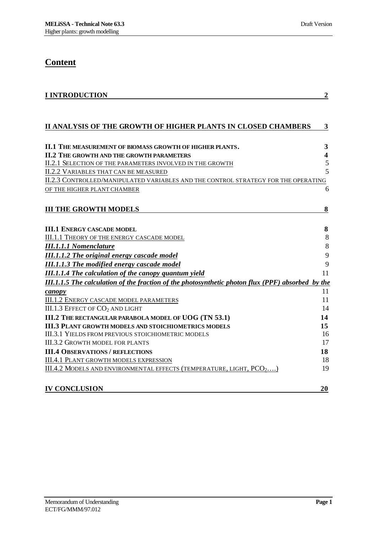# **Content**

| <b>I INTRODUCTION</b>                                                                             | $\boldsymbol{2}$        |
|---------------------------------------------------------------------------------------------------|-------------------------|
|                                                                                                   |                         |
| II ANALYSIS OF THE GROWTH OF HIGHER PLANTS IN CLOSED CHAMBERS                                     | 3                       |
|                                                                                                   |                         |
| II.1 THE MEASUREMENT OF BIOMASS GROWTH OF HIGHER PLANTS.                                          | 3                       |
| <b>II.2 THE GROWTH AND THE GROWTH PARAMETERS</b>                                                  | $\overline{\mathbf{4}}$ |
| II.2.1 SELECTION OF THE PARAMETERS INVOLVED IN THE GROWTH                                         | $\mathfrak s$           |
| <b>II.2.2 VARIABLES THAT CAN BE MEASURED</b>                                                      | 5                       |
| II.2.3 CONTROLLED/MANIPULATED VARIABLES AND THE CONTROL STRATEGY FOR THE OPERATING                |                         |
| OF THE HIGHER PLANT CHAMBER                                                                       | 6                       |
|                                                                                                   |                         |
| <b>III THE GROWTH MODELS</b>                                                                      | 8                       |
|                                                                                                   |                         |
| <b>III.1 ENERGY CASCADE MODEL</b>                                                                 | 8                       |
| <b>III.1.1 THEORY OF THE ENERGY CASCADE MODEL</b>                                                 | 8                       |
| <b>III.1.1.1 Nomenclature</b>                                                                     | $\,8\,$                 |
| <b>III.1.1.2 The original energy cascade model</b>                                                | 9                       |
| <b>III.1.1.3 The modified energy cascade model</b>                                                | 9                       |
| <b>III.1.1.4 The calculation of the canopy quantum yield</b>                                      | 11                      |
| III.1.1.5 The calculation of the fraction of the photosynthetic photon flux (PPF) absorbed by the |                         |
| canopy                                                                                            | 11                      |
| <b>III.1.2 ENERGY CASCADE MODEL PARAMETERS</b>                                                    | 11                      |
| III.1.3 EFFECT OF CO <sub>2</sub> AND LIGHT                                                       | 14                      |
| III.2 THE RECTANGULAR PARABOLA MODEL OF UOG (TN 53.1)                                             | 14                      |
| <b>III.3 PLANT GROWTH MODELS AND STOICHIOMETRICS MODELS</b>                                       | 15                      |
| <b>III.3.1 YIELDS FROM PREVIOUS STOICHIOMETRIC MODELS</b>                                         | 16                      |
| <b>III.3.2 GROWTH MODEL FOR PLANTS</b>                                                            | 17                      |
| <b>III.4 OBSERVATIONS / REFLECTIONS</b>                                                           | 18                      |
| <b>III.4.1 PLANT GROWTH MODELS EXPRESSION</b>                                                     | 18                      |
| III.4.2 MODELS AND ENVIRONMENTAL EFFECTS (TEMPERATURE, LIGHT, PCO <sub>2</sub> )                  | 19                      |
|                                                                                                   |                         |
| <b>IV CONCLUSION</b>                                                                              | 20                      |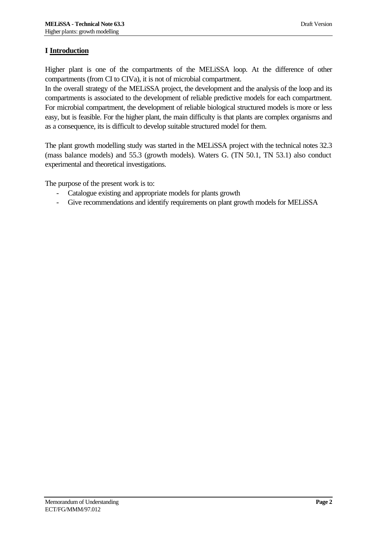# **I Introduction**

Higher plant is one of the compartments of the MELiSSA loop. At the difference of other compartments (from CI to CIVa), it is not of microbial compartment.

In the overall strategy of the MELiSSA project, the development and the analysis of the loop and its compartments is associated to the development of reliable predictive models for each compartment. For microbial compartment, the development of reliable biological structured models is more or less easy, but is feasible. For the higher plant, the main difficulty is that plants are complex organisms and as a consequence, its is difficult to develop suitable structured model for them.

The plant growth modelling study was started in the MELiSSA project with the technical notes 32.3 (mass balance models) and 55.3 (growth models). Waters G. (TN 50.1, TN 53.1) also conduct experimental and theoretical investigations.

The purpose of the present work is to:

- Catalogue existing and appropriate models for plants growth
- Give recommendations and identify requirements on plant growth models for MELiSSA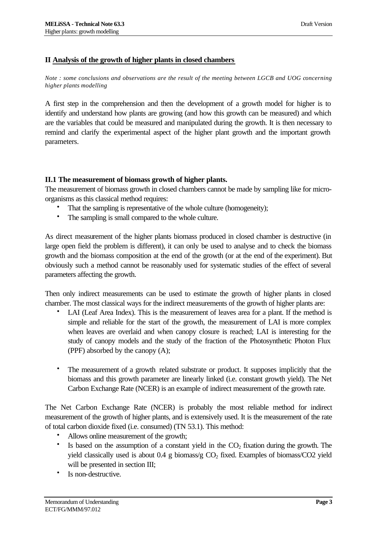#### **II Analysis of the growth of higher plants in closed chambers**

*Note : some conclusions and observations are the result of the meeting between LGCB and UOG concerning higher plants modelling*

A first step in the comprehension and then the development of a growth model for higher is to identify and understand how plants are growing (and how this growth can be measured) and which are the variables that could be measured and manipulated during the growth. It is then necessary to remind and clarify the experimental aspect of the higher plant growth and the important growth parameters.

#### **II.1 The measurement of biomass growth of higher plants.**

The measurement of biomass growth in closed chambers cannot be made by sampling like for microorganisms as this classical method requires:

- That the sampling is representative of the whole culture (homogeneity);
- The sampling is small compared to the whole culture.

As direct measurement of the higher plants biomass produced in closed chamber is destructive (in large open field the problem is different), it can only be used to analyse and to check the biomass growth and the biomass composition at the end of the growth (or at the end of the experiment). But obviously such a method cannot be reasonably used for systematic studies of the effect of several parameters affecting the growth.

Then only indirect measurements can be used to estimate the growth of higher plants in closed chamber. The most classical ways for the indirect measurements of the growth of higher plants are:

- LAI (Leaf Area Index). This is the measurement of leaves area for a plant. If the method is simple and reliable for the start of the growth, the measurement of LAI is more complex when leaves are overlaid and when canopy closure is reached; LAI is interesting for the study of canopy models and the study of the fraction of the Photosynthetic Photon Flux (PPF) absorbed by the canopy (A);
- The measurement of a growth related substrate or product. It supposes implicitly that the biomass and this growth parameter are linearly linked (i.e. constant growth yield). The Net Carbon Exchange Rate (NCER) is an example of indirect measurement of the growth rate.

The Net Carbon Exchange Rate (NCER) is probably the most reliable method for indirect measurement of the growth of higher plants, and is extensively used. It is the measurement of the rate of total carbon dioxide fixed (i.e. consumed) (TN 53.1). This method:

- Allows online measurement of the growth;
- Is based on the assumption of a constant yield in the  $CO<sub>2</sub>$  fixation during the growth. The yield classically used is about  $0.4 \text{ g}$  biomass/g  $CO<sub>2</sub>$  fixed. Examples of biomass/CO2 yield will be presented in section III;
- Is non-destructive.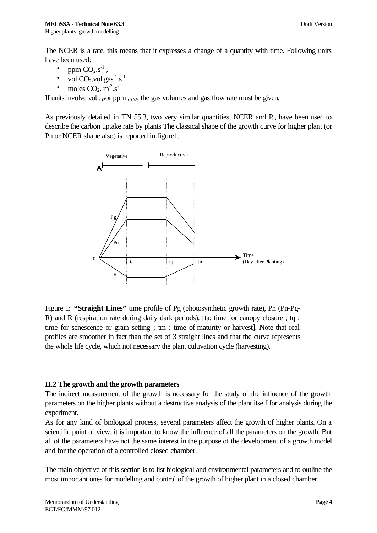The NCER is a rate, this means that it expresses a change of a quantity with time. Following units have been used:

- ppm  $CO<sub>2. S<sup>-1</sup></sub>$ ,
- vol  $CO_2$  vol  $gas^{-1}.s^{-1}$
- moles  $CO_2$ .  $m^2.s^{-1}$

If units involve vol<sub>CO2</sub>or ppm  $_{\text{CO2}}$ , the gas volumes and gas flow rate must be given.

As previously detailed in TN 55.3, two very similar quantities, NCER and  $P_n$ , have been used to describe the carbon uptake rate by plants The classical shape of the growth curve for higher plant (or Pn or NCER shape also) is reported in figure1.



Figure 1: **"Straight Lines"** time profile of Pg (photosynthetic growth rate), Pn (Pn-Pg-R) and R (respiration rate during daily dark periods). [ta: time for canopy closure ; tq : time for senescence or grain setting ; tm : time of maturity or harvest]. Note that real profiles are smoother in fact than the set of 3 straight lines and that the curve represents the whole life cycle, which not necessary the plant cultivation cycle (harvesting).

#### **II.2 The growth and the growth parameters**

The indirect measurement of the growth is necessary for the study of the influence of the growth parameters on the higher plants without a destructive analysis of the plant itself for analysis during the experiment.

As for any kind of biological process, several parameters affect the growth of higher plants. On a scientific point of view, it is important to know the influence of all the parameters on the growth. But all of the parameters have not the same interest in the purpose of the development of a growth model and for the operation of a controlled closed chamber.

The main objective of this section is to list biological and environmental parameters and to outline the most important ones for modelling and control of the growth of higher plant in a closed chamber.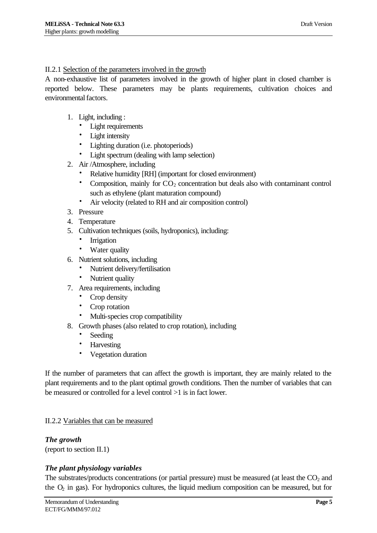## II.2.1 Selection of the parameters involved in the growth

A non-exhaustive list of parameters involved in the growth of higher plant in closed chamber is reported below. These parameters may be plants requirements, cultivation choices and environmental factors.

- 1. Light, including :
	- Light requirements
	-
	- Light intensity<br>• I ishting durat • Lighting duration (i.e. photoperiods)
	- Light spectrum (dealing with lamp selection)
- 2. Air /Atmosphere, including
	- Relative humidity [RH] (important for closed environment)
	- Composition, mainly for  $CO<sub>2</sub>$  concentration but deals also with contaminant control such as ethylene (plant maturation compound)
	- Air velocity (related to RH and air composition control)
- 3. Pressure
- 4. Temperature
- 5. Cultivation techniques (soils, hydroponics), including:
	- **Irrigation**
	- Water quality
- 6. Nutrient solutions, including
	- Nutrient delivery/fertilisation
	- Nutrient quality
- 7. Area requirements, including
	- Crop density
	- Crop rotation
	- Multi-species crop compatibility
- 8. Growth phases (also related to crop rotation), including
	- Seeding
	- Harvesting
	- Vegetation duration

If the number of parameters that can affect the growth is important, they are mainly related to the plant requirements and to the plant optimal growth conditions. Then the number of variables that can be measured or controlled for a level control >1 is in fact lower.

#### II.2.2 Variables that can be measured

*The growth* (report to section II.1)

#### *The plant physiology variables*

The substrates/products concentrations (or partial pressure) must be measured (at least the  $CO<sub>2</sub>$  and the  $O<sub>2</sub>$  in gas). For hydroponics cultures, the liquid medium composition can be measured, but for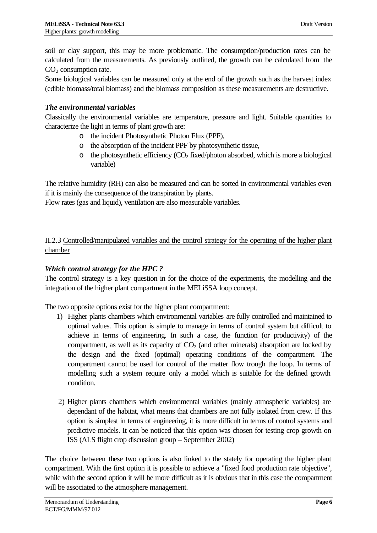soil or clay support, this may be more problematic. The consumption/production rates can be calculated from the measurements. As previously outlined, the growth can be calculated from the  $CO<sub>2</sub>$  consumption rate.

Some biological variables can be measured only at the end of the growth such as the harvest index (edible biomass/total biomass) and the biomass composition as these measurements are destructive.

# *The environmental variables*

Classically the environmental variables are temperature, pressure and light. Suitable quantities to characterize the light in terms of plant growth are:

- o the incident Photosynthetic Photon Flux (PPF),
- o the absorption of the incident PPF by photosynthetic tissue,
- $\circ$  the photosynthetic efficiency (CO<sub>2</sub> fixed/photon absorbed, which is more a biological variable)

The relative humidity (RH) can also be measured and can be sorted in environmental variables even if it is mainly the consequence of the transpiration by plants.

Flow rates (gas and liquid), ventilation are also measurable variables.

II.2.3 Controlled/manipulated variables and the control strategy for the operating of the higher plant chamber

# *Which control strategy for the HPC ?*

The control strategy is a key question in for the choice of the experiments, the modelling and the integration of the higher plant compartment in the MELiSSA loop concept.

The two opposite options exist for the higher plant compartment:

- 1) Higher plants chambers which environmental variables are fully controlled and maintained to optimal values. This option is simple to manage in terms of control system but difficult to achieve in terms of engineering. In such a case, the function (or productivity) of the compartment, as well as its capacity of  $CO<sub>2</sub>$  (and other minerals) absorption are locked by the design and the fixed (optimal) operating conditions of the compartment. The compartment cannot be used for control of the matter flow trough the loop. In terms of modelling such a system require only a model which is suitable for the defined growth condition.
- 2) Higher plants chambers which environmental variables (mainly atmospheric variables) are dependant of the habitat, what means that chambers are not fully isolated from crew. If this option is simplest in terms of engineering, it is more difficult in terms of control systems and predictive models. It can be noticed that this option was chosen for testing crop growth on ISS (ALS flight crop discussion group – September 2002)

The choice between these two options is also linked to the stately for operating the higher plant compartment. With the first option it is possible to achieve a "fixed food production rate objective", while with the second option it will be more difficult as it is obvious that in this case the compartment will be associated to the atmosphere management.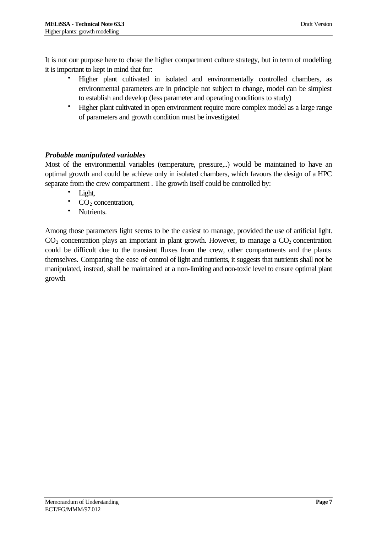It is not our purpose here to chose the higher compartment culture strategy, but in term of modelling it is important to kept in mind that for:

- Higher plant cultivated in isolated and environmentally controlled chambers, as environmental parameters are in principle not subject to change, model can be simplest to establish and develop (less parameter and operating conditions to study)
- Higher plant cultivated in open environment require more complex model as a large range of parameters and growth condition must be investigated

# *Probable manipulated variables*

Most of the environmental variables (temperature, pressure,..) would be maintained to have an optimal growth and could be achieve only in isolated chambers, which favours the design of a HPC separate from the crew compartment . The growth itself could be controlled by:

- Light,
- $CO<sub>2</sub>$  concentration,
- Nutrients.

Among those parameters light seems to be the easiest to manage, provided the use of artificial light.  $CO<sub>2</sub>$  concentration plays an important in plant growth. However, to manage a  $CO<sub>2</sub>$  concentration could be difficult due to the transient fluxes from the crew, other compartments and the plants themselves. Comparing the ease of control of light and nutrients, it suggests that nutrients shall not be manipulated, instead, shall be maintained at a non-limiting and non-toxic level to ensure optimal plant growth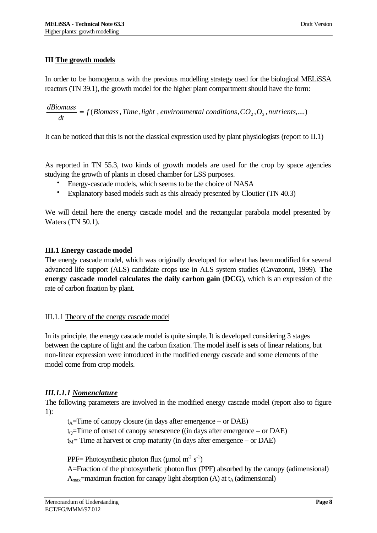#### **III The growth models**

In order to be homogenous with the previous modelling strategy used for the biological MELiSSA reactors (TN 39.1), the growth model for the higher plant compartment should have the form:

( , , , , , , ,....) *f Biomass Time light environmental conditions CO*<sup>2</sup> *O*<sup>2</sup> *nutrients* = *dt dBiomass*

It can be noticed that this is not the classical expression used by plant physiologists (report to II.1)

As reported in TN 55.3, two kinds of growth models are used for the crop by space agencies studying the growth of plants in closed chamber for LSS purposes.

- Energy-cascade models, which seems to be the choice of NASA
- Explanatory based models such as this already presented by Cloutier (TN 40.3)

We will detail here the energy cascade model and the rectangular parabola model presented by Waters (TN 50.1).

#### **III.1 Energy cascade model**

The energy cascade model, which was originally developed for wheat has been modified for several advanced life support (ALS) candidate crops use in ALS system studies (Cavazonni, 1999). **The energy cascade model calculates the daily carbon gain** (**DCG**), which is an expression of the rate of carbon fixation by plant.

#### III.1.1 Theory of the energy cascade model

In its principle, the energy cascade model is quite simple. It is developed considering 3 stages between the capture of light and the carbon fixation. The model itself is sets of linear relations, but non-linear expression were introduced in the modified energy cascade and some elements of the model come from crop models.

# *III.1.1.1 Nomenclature*

The following parameters are involved in the modified energy cascade model (report also to figure 1):

 $t_A$ =Time of canopy closure (in days after emergence – or DAE)  $t<sub>Q</sub>=$ Time of onset of canopy senescence ((in days after emergence – or DAE)  $t_M$ = Time at harvest or crop maturity (in days after emergence – or DAE)

PPF= Photosynthetic photon flux ( $\mu$ mol m<sup>-2</sup> s<sup>-1</sup>)

A=Fraction of the photosynthetic photon flux (PPF) absorbed by the canopy (adimensional)  $A<sub>max</sub>=$ maximun fraction for canapy light absrption (A) at  $t_A$  (adimensional)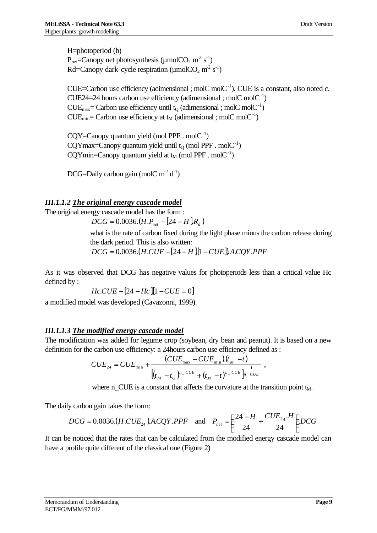H=photoperiod (h)  $P_{\text{net}}$ =Canopy net photosynthesis (µmolCO<sub>2</sub> m<sup>-2</sup> s<sup>-1</sup>) Rd=Canopy dark-cycle respiration ( $\mu$ molCO<sub>2</sub> m<sup>2</sup> s<sup>-1</sup>)

CUE=Carbon use efficiency (adimensional ; molC molC $^{-1}$ ). CUE is a constant, also noted c.  $CUE24 = 24$  hours carbon use efficiency (adimensional ; molC molC $^{-1}$ )  $CUE_{\text{max}}$  = Carbon use efficiency until t<sub>Q</sub> (adimensional ; molC molC<sup>-1</sup>)  $CUE_{min}$  = Carbon use efficiency at  $t_M$  (adimensional ; molC molC<sup>-1</sup>)

 $CQY = Canopy$  quantum yield (mol PPF . mol $C^{-1}$ )  $CQY$ max=Canopy quantum yield until  $t<sub>Q</sub>$  (mol PPF . mol $C<sup>-1</sup>$ )  $CQYmin = Canopy$  quantum yield at  $t_M$  (mol PPF . mol $C^{-1}$ )

DCG=Daily carbon gain (molC  $m^2 d^{-1}$ )

# *III.1.1.2 The original energy cascade model*

The original energy cascade model has the form :

 $DCG = 0.0036 (H.P_{net} - [24 - H].R_d)$ 

what is the rate of carbon fixed during the light phase minus the carbon release during the dark period. This is also written:

*DCG* = 0.0036.(*H*.*CUE* − [24 − *H* ].[1 − *CUE*]).*A*.*CQY*.*PPF*

As it was observed that DCG has negative values for photoperiods less than a critical value Hc defined by :

$$
Hc.CUE - [24 - Hc][1 - CUE = 0]
$$

a modified model was developed (Cavazonni, 1999).

#### *III.1.1.3 The modified energy cascade model*

The modification was added for legume crop (soybean, dry bean and peanut). It is based on a new definition for the carbon use efficiency: a 24hours carbon use efficiency defined as :

$$
CUE_{24} = CUE_{\min} + \frac{(CUE_{\max} - CUE_{\min})(t_M - t)}{[(t_M - t_Q)^{n_CUE} + (t_M - t)^{n_CUE}]^{\frac{1}{n_CUE}}},
$$

where n\_CUE is a constant that affects the curvature at the transition point  $t_M$ .

The daily carbon gain takes the form:

$$
DCG = 0.0036.(H.CUE_{24}).ACQY.PPF \text{ and } P_{net} = \left(\frac{24 - H}{24} + \frac{CUE_{24}.H}{24}\right)DCG
$$

It can be noticed that the rates that can be calculated from the modified energy cascade model can have a profile quite different of the classical one (Figure 2)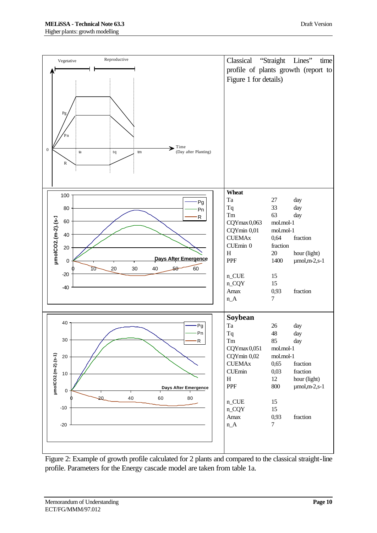

Figure 2: Example of growth profile calculated for 2 plants and compared to the classical straight-line profile. Parameters for the Energy cascade model are taken from table 1a.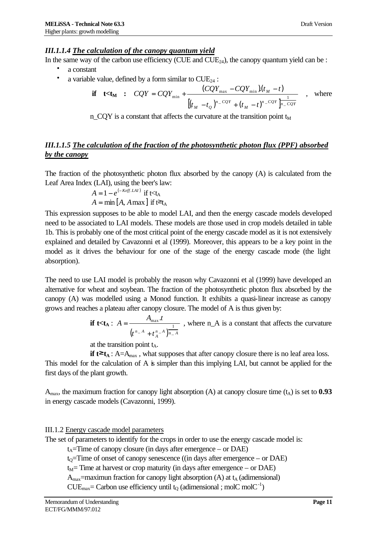#### *III.1.1.4 The calculation of the canopy quantum yield*

In the same way of the carbon use efficiency (CUE and  $CUE_{24}$ ), the canopy quantum yield can be :

- a constant
- a variable value, defined by a form similar to  $CUE_{24}$ :

$$
\text{if } t < t_M \; : \; CQY = CQY_{\min} + \frac{(CQY_{\max} - CQY_{\min})(t_M - t)}{[(t_M - t_Q)^{n - CQY} + (t_M - t)^{n - CQY}]_{n - CQY}} \quad , \text{ where}
$$

 $n$  CQY is a constant that affects the curvature at the transition point  $t_M$ 

# *III.1.1.5 The calculation of the fraction of the photosynthetic photon flux (PPF) absorbed by the canopy*

The fraction of the photosynthetic photon flux absorbed by the canopy (A) is calculated from the Leaf Area Index (LAI), using the beer's law:

$$
A = 1 - e^{(-K\epsilon f f. LAI)} \text{ if } t < t_A
$$
  

$$
A = \min[A, A \max] \text{ if } t \ge t_A
$$

This expression supposes to be able to model LAI, and then the energy cascade models developed need to be associated to LAI models. These models are those used in crop models detailed in table 1b. This is probably one of the most critical point of the energy cascade model as it is not extensively explained and detailed by Cavazonni et al (1999). Moreover, this appears to be a key point in the model as it drives the behaviour for one of the stage of the energy cascade mode (the light absorption).

The need to use LAI model is probably the reason why Cavazonni et al (1999) have developed an alternative for wheat and soybean. The fraction of the photosynthetic photon flux absorbed by the canopy (A) was modelled using a Monod function. It exhibits a quasi-linear increase as canopy grows and reaches a plateau after canopy closure. The model of A is thus given by:

> **if** t $lt$ t<sub>A</sub> :  $(t^{n-A}+t^{n-A}_A)^{\overline{n}-A}$ *A*  $t^{n-A}+t$  $A_{\text{max}}$ .t *A* \_  $A \neq n - A$ max . +  $=$   $\frac{1}{1-\frac{max}{a}}$ , where n\_A is a constant that affects the curvature

at the transition point  $t_A$ .

**if**  $t^*$   $t_A$  : A=A<sub>max</sub>, what supposes that after canopy closure there is no leaf area loss. This model for the calculation of A is simpler than this implying LAI, but cannot be applied for the first days of the plant growth.

 $A_{\text{max}}$ , the maximum fraction for canopy light absorption (A) at canopy closure time  $(t_A)$  is set to **0.93** in energy cascade models (Cavazonni, 1999).

#### III.1.2 Energy cascade model parameters

The set of parameters to identify for the crops in order to use the energy cascade model is:

 $t_A$ =Time of canopy closure (in days after emergence – or DAE)

 $t<sub>0</sub>=$ Time of onset of canopy senescence ((in days after emergence – or DAE)

 $t_M$ = Time at harvest or crop maturity (in days after emergence – or DAE)

 $A<sub>max</sub>$ =maximun fraction for canopy light absorption (A) at  $t_A$  (adimensional)

 $CUE_{\text{max}}$  = Carbon use efficiency until t<sub>Q</sub> (adimensional ; molC molC<sup>-1</sup>)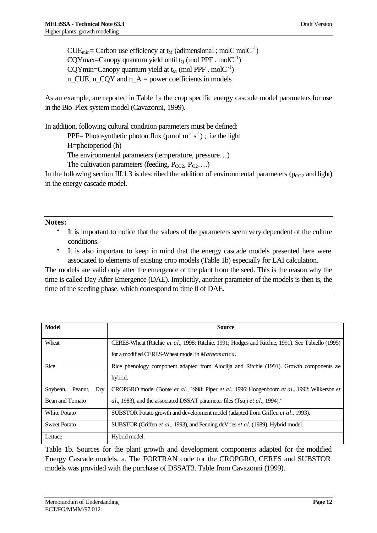$CUE_{min}$  = Carbon use efficiency at  $t_M$  (adimensional ; molC molC<sup>-1</sup>) CQYmax=Canopy quantum yield until  $t_0$  (mol PPF . molC<sup>-1</sup>)  $CQYmin = Canopy$  quantum yield at  $t_M$  (mol PPF . mol $C^{-1}$ )  $n$ <sub>CUE</sub>,  $n$ <sub>CQ</sub>Y and  $n_A$  = power coefficients in models

As an example, are reported in Table 1a the crop specific energy cascade model parameters for use in the Bio-Plex system model (Cavazonni, 1999).

In addition, following cultural condition parameters must be defined:

PPF = Photosynthetic photon flux ( $\mu$ mol m<sup>-2</sup> s<sup>-1</sup>); i.e the light

H=photoperiod (h)

The environmental parameters (temperature, pressure…)

The cultivation parameters (feeding,  $P_{CO2}$ ,  $P_{O2}$ ....)

In the following section III.1.3 is described the addition of environmental parameters ( $p_{CO2}$  and light) in the energy cascade model.

**Notes:**

- It is important to notice that the values of the parameters seem very dependent of the culture conditions.
- It is also important to keep in mind that the energy cascade models presented here were associated to elements of existing crop models (Table 1b) especially for LAI calculation.

The models are valid only after the emergence of the plant from the seed. This is the reason why the time is called Day After Emergence (DAE). Implicitly, another parameter of the models is then ts, the time of the seeding phase, which correspond to time 0 of DAE.

| <b>Model</b>                                  | <b>Source</b>                                                                                                                                                                              |
|-----------------------------------------------|--------------------------------------------------------------------------------------------------------------------------------------------------------------------------------------------|
| Wheat                                         | CERES-Wheat (Ritchie et al., 1998; Ritchie, 1991; Hodges and Ritchie, 1991). See Tubiello (1995)<br>for a modified CERES-Wheat model in Mathematica.                                       |
| Rice                                          | Rice phenology component adapted from Alocilia and Ritchie (1991). Growth components are<br>hybrid.                                                                                        |
| Soybean,<br>Peanut,<br>Dry<br>Bean and Tomato | CROPGRO model (Boote et al., 1998; Piper et al., 1996; Hoogenboom et al., 1992; Wilkerson et<br>$al., 1983$ ), and the associated DSSAT parameter files (Tsuji et al., 1994). <sup>2</sup> |
| White Potato                                  | SUBSTOR Potato growth and development model (adapted from Griffen et al., 1993).                                                                                                           |
| <b>Sweet Potato</b>                           | SUBSTOR (Griffen <i>et al.</i> , 1993), and Penning deVries <i>et al.</i> (1989). Hybrid model.                                                                                            |
| Lettuce                                       | Hybrid model.                                                                                                                                                                              |

Table 1b. Sources for the plant growth and development components adapted for the modified Energy Cascade models. a. The FORTRAN code for the CROPGRO, CERES and SUBSTOR models was provided with the purchase of DSSAT3. Table from Cavazonni (1999).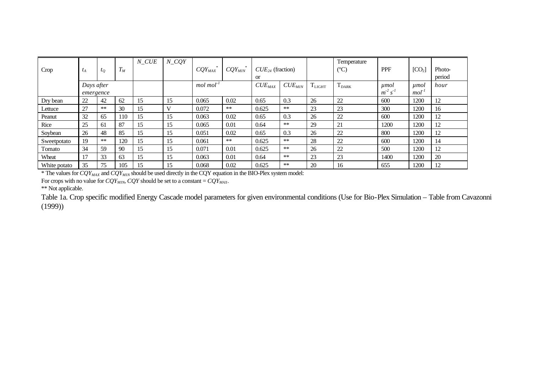| Crop         | $t_A$      | $t_Q$ | $T_M$ | N CUE | $N$ <sub>CQY</sub> | $CQY_{MAX}$             | $CQY_{MIN}$ | $CUE_{24}$ (fraction) |             |             | Temperature<br>$(C^{\circ}C)$ | <b>PPF</b> | [CO <sub>2</sub> ]  | Photo- |
|--------------|------------|-------|-------|-------|--------------------|-------------------------|-------------|-----------------------|-------------|-------------|-------------------------------|------------|---------------------|--------|
|              |            |       |       |       |                    |                         |             | <b>or</b>             |             |             |                               |            |                     | period |
|              | Days after |       |       |       |                    | $mol$ mol <sup>-1</sup> |             | $CUE_{MAX}$           | $CUE_{MIN}$ | $T_{LIGHT}$ | $T_{\text{DARK}}$             | $\mu$ mol  | umol                | hour   |
|              | emergence  |       |       |       |                    |                         |             |                       |             |             |                               | $m^2s^1$   | $mol$ <sup>-1</sup> |        |
| Dry bean     | 22         | 42    | 62    | 15    | 15                 | 0.065                   | 0.02        | 0.65                  | 0.3         | 26          | 22                            | 600        | 1200                | 12     |
| Lettuce      | 27         | $**$  | 30    | 15    |                    | 0.072                   | **          | 0.625                 | $**$        | 23          | 23                            | 300        | 1200                | 16     |
| Peanut       | 32         | 65    | 110   | 15    | 15                 | 0.063                   | 0.02        | 0.65                  | 0.3         | 26          | 22                            | 600        | 1200                | 12     |
| Rice         | 25         | 61    | 87    | 15    | 15                 | 0.065                   | 0.01        | 0.64                  | $**$        | 29          | 21                            | 1200       | 1200                | 12     |
| Soybean      | 26         | 48    | 85    | 15    | 15                 | 0.051                   | 0.02        | 0.65                  | 0.3         | 26          | 22                            | 800        | 1200                | 12     |
| Sweetpotato  | 19         | **    | 120   | 15    | 15                 | 0.061                   | $**$        | 0.625                 | $**$        | 28          | 22                            | 600        | 1200                | 14     |
| Tomato       | 34         | 59    | 90    | 15    | 15                 | 0.071                   | 0.01        | 0.625                 | $\ast\ast$  | 26          | 22                            | 500        | 1200                | 12     |
| Wheat        | 17         | 33    | 63    | 15    | 15                 | 0.063                   | 0.01        | 0.64                  | $**$        | 23          | 23                            | 1400       | 1200                | 20     |
| White potato | 35         | 75    | 105   | 15    | 15                 | 0.068                   | 0.02        | 0.625                 | $**$        | 20          | 16                            | 655        | 1200                | 12     |

\* The values for *CQYMAX* and *CQYMIN* should be used directly in the CQY equation in the BIO-Plex system model:

For crops with no value for  $CQY_{MIN}$ ,  $CQY$  should be set to a constant =  $CQY_{MAX}$ .

\*\* Not applicable.

Table 1a. Crop specific modified Energy Cascade model parameters for given environmental conditions (Use for Bio-Plex Simulation – Table from Cavazonni (1999))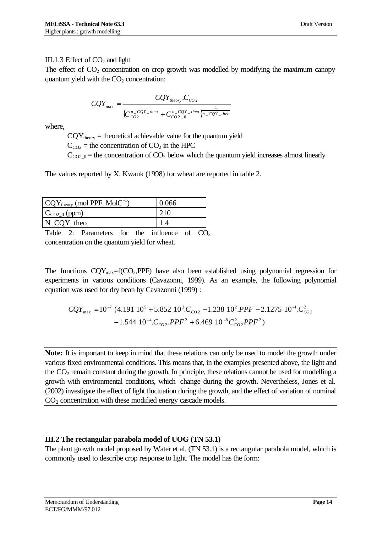## III.1.3 Effect of  $CO<sub>2</sub>$  and light

The effect of  $CO<sub>2</sub>$  concentration on crop growth was modelled by modifying the maximum canopy quantum yield with the  $CO<sub>2</sub>$  concentration:

$$
CQY_{\text{max}} = \frac{CQY_{\text{theory}}.C_{CO2}}{(C_{CO2}^{n\_CQY_{\text{_{\text{theor}}}}} + C_{CO2}^{n\_CQY_{\text{_{\text{theo}}}}})_{n\_CQY_{\text{_{\text{theo}}}}}}
$$

where,

 $CQY_{theory}$  = theoretical achievable value for the quantum yield

 $C_{CO2}$  = the concentration of  $CO<sub>2</sub>$  in the HPC

 $C_{CO2,0}$  = the concentration of  $CO<sub>2</sub>$  below which the quantum yield increases almost linearly

The values reported by X. Kwauk (1998) for wheat are reported in table 2.

| $CQY_{theory}$ (mol PPF. MolC <sup>-1</sup> ) | 0.066  |
|-----------------------------------------------|--------|
| $C_{CO2_0}$ (ppm)                             | 210    |
| N_CQY_theo                                    |        |
| ___                                           | $\sim$ |

Table 2: Parameters for the influence of  $CO<sub>2</sub>$ concentration on the quantum yield for wheat.

The functions  $CQY_{max}=f(CO_2,PPF)$  have also been established using polynomial regression for experiments in various conditions (Cavazonni, 1999). As an example, the following polynomial equation was used for dry bean by Cavazonni (1999) :

$$
CQY_{\text{max}} = 10^{-7} (4.191 \ 10^5 + 5.852 \ 10^2.C_{CO2} - 1.238 \ 10^2.PPF - 2.1275 \ 10^{-1}.C_{CO2}^2 - 1.544 \ 10^{-4}.C_{CO2}.PPF^2 + 6.469 \ 10^{-8}C_{CO2}^2 PPF^2)
$$

**Note:** It is important to keep in mind that these relations can only be used to model the growth under various fixed environmental conditions. This means that, in the examples presented above, the light and the  $CO<sub>2</sub>$  remain constant during the growth. In principle, these relations cannot be used for modelling a growth with environmental conditions, which change during the growth. Nevertheless, Jones et al. (2002) investigate the effect of light fluctuation during the growth, and the effect of variation of nominal  $CO<sub>2</sub>$  concentration with these modified energy cascade models.

# **III.2 The rectangular parabola model of UOG (TN 53.1)**

The plant growth model proposed by Water et al. (TN 53.1) is a rectangular parabola model, which is commonly used to describe crop response to light. The model has the form: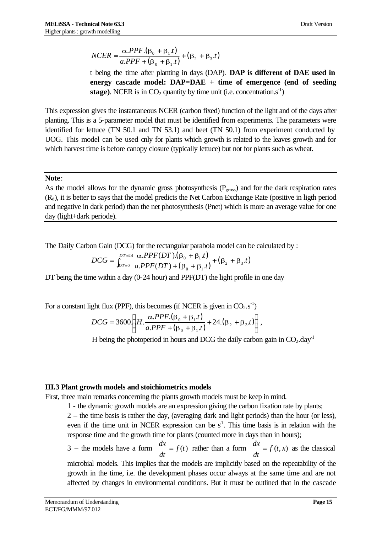$$
NCER = \frac{\alpha.PPF.(\beta_0 + \beta_1.t)}{a.PPF + (\beta_0 + \beta_1.t)} + (\beta_2 + \beta_3.t)
$$

t being the time after planting in days (DAP). **DAP is different of DAE used in energy cascade model: DAP=DAE + time of emergence (end of seeding stage**). NCER is in  $CO_2$  quantity by time unit (i.e. concentration.s<sup>-1</sup>)

This expression gives the instantaneous NCER (carbon fixed) function of the light and of the days after planting. This is a 5-parameter model that must be identified from experiments. The parameters were identified for lettuce (TN 50.1 and TN 53.1) and beet (TN 50.1) from experiment conducted by UOG. This model can be used only for plants which growth is related to the leaves growth and for which harvest time is before canopy closure (typically lettuce) but not for plants such as wheat.

#### **Note**:

As the model allows for the dynamic gross photosynthesis ( $P<sub>gross</sub>$ ) and for the dark respiration rates  $(R_d)$ , it is better to says that the model predicts the Net Carbon Exchange Rate (positive in ligth period and negative in dark period) than the net photosynthesis (Pnet) which is more an average value for one day (light+dark periode).

The Daily Carbon Gain (DCG) for the rectangular parabola model can be calculated by :

$$
DCG = \int_{DT=0}^{DT=24} \frac{\alpha.PPF(DT).(\beta_0 + \beta_1.t)}{a.PPF(DT) + (\beta_0 + \beta_1.t)} + (\beta_2 + \beta_3.t)
$$

DT being the time within a day (0-24 hour) and PPF(DT) the light profile in one day

For a constant light flux (PPF), this becomes (if NCER is given in  $CO_2.s^{-1}$ )

$$
DCG = 3600 \left( H \cdot \frac{\alpha.PPF.(\beta_0 + \beta_1.t)}{a.PPF + (\beta_0 + \beta_1.t)} + 24.(\beta_2 + \beta_3.t) \right),
$$

H being the photoperiod in hours and DCG the daily carbon gain in  $CO<sub>2</sub>$ .day<sup>-1</sup>

#### **III.3 Plant growth models and stoichiometrics models**

First, three main remarks concerning the plants growth models must be keep in mind.

1 - the dynamic growth models are an expression giving the carbon fixation rate by plants;

2 – the time basis is rather the day, (averaging dark and light periods) than the hour (or less), even if the time unit in NCER expression can be  $s<sup>1</sup>$ . This time basis is in relation with the response time and the growth time for plants (counted more in days than in hours);

3 – the models have a form  $\frac{dx}{f} = f(t)$ *dt*  $\frac{dx}{dt} = f(t)$  rather than a form  $\frac{dx}{dt} = f(t, x)$ *dt*  $\frac{dx}{dt} = f(t, x)$  as the classical microbial models. This implies that the models are implicitly based on the repeatability of the growth in the time, i.e. the development phases occur always at the same time and are not affected by changes in environmental conditions. But it must be outlined that in the cascade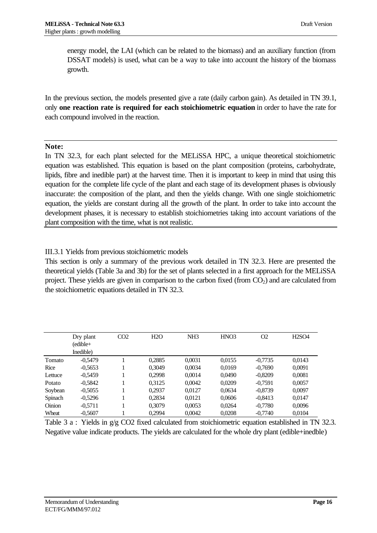energy model, the LAI (which can be related to the biomass) and an auxiliary function (from DSSAT models) is used, what can be a way to take into account the history of the biomass growth.

In the previous section, the models presented give a rate (daily carbon gain). As detailed in TN 39.1, only **one reaction rate is required for each stoichiometric equation** in order to have the rate for each compound involved in the reaction.

#### **Note:**

In TN 32.3, for each plant selected for the MELiSSA HPC, a unique theoretical stoichiometric equation was established. This equation is based on the plant composition (proteins, carbohydrate, lipids, fibre and inedible part) at the harvest time. Then it is important to keep in mind that using this equation for the complete life cycle of the plant and each stage of its development phases is obviously inaccurate: the composition of the plant, and then the yields change. With one single stoichiometric equation, the yields are constant during all the growth of the plant. In order to take into account the development phases, it is necessary to establish stoichiometries taking into account variations of the plant composition with the time, what is not realistic.

III.3.1 Yields from previous stoichiometric models

This section is only a summary of the previous work detailed in TN 32.3. Here are presented the theoretical yields (Table 3a and 3b) for the set of plants selected in a first approach for the MELiSSA project. These yields are given in comparison to the carbon fixed (from  $CO<sub>2</sub>$ ) and are calculated from the stoichiometric equations detailed in TN 32.3.

|               | Dry plant<br>(edible+ | CO <sub>2</sub> | H2O    | NH <sub>3</sub> | HNO <sub>3</sub> | O <sub>2</sub> | H <sub>2</sub> SO <sub>4</sub> |
|---------------|-----------------------|-----------------|--------|-----------------|------------------|----------------|--------------------------------|
|               | Inedible)             |                 |        |                 |                  |                |                                |
| Tomato        | $-0.5479$             |                 | 0.2885 | 0.0031          | 0.0155           | $-0,7735$      | 0.0143                         |
| Rice          | $-0.5653$             |                 | 0.3049 | 0.0034          | 0.0169           | $-0.7690$      | 0.0091                         |
| Lettuce       | $-0.5459$             |                 | 0.2998 | 0.0014          | 0.0490           | $-0,8209$      | 0,0081                         |
| Potato        | $-0.5842$             |                 | 0.3125 | 0.0042          | 0.0209           | $-0.7591$      | 0.0057                         |
| Soybean       | $-0.5055$             |                 | 0.2937 | 0.0127          | 0.0634           | $-0.8739$      | 0.0097                         |
| Spinach       | $-0,5296$             |                 | 0,2834 | 0.0121          | 0,0606           | $-0,8413$      | 0.0147                         |
| <b>Oinion</b> | $-0.5711$             |                 | 0.3079 | 0.0053          | 0.0264           | $-0.7780$      | 0,0096                         |
| Wheat         | $-0.5607$             |                 | 0,2994 | 0.0042          | 0,0208           | $-0.7740$      | 0.0104                         |

Table 3 a : Yields in  $g/g$  CO2 fixed calculated from stoichiometric equation established in TN 32.3. Negative value indicate products. The yields are calculated for the whole dry plant (edible+inedble)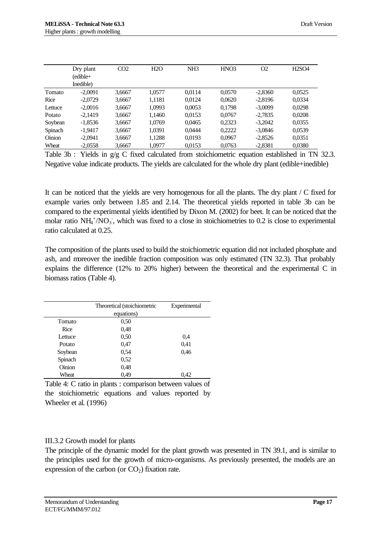|         | Dry plant | CO <sub>2</sub> | H2O    | NH <sub>3</sub> | HNO <sub>3</sub> | O <sub>2</sub> | <b>H2SO4</b> |
|---------|-----------|-----------------|--------|-----------------|------------------|----------------|--------------|
|         | (edible+  |                 |        |                 |                  |                |              |
|         | Inedible) |                 |        |                 |                  |                |              |
| Tomato  | $-2.0091$ | 3,6667          | 1,0577 | 0.0114          | 0.0570           | $-2.8360$      | 0.0525       |
| Rice    | $-2.0729$ | 3,6667          | 1.1181 | 0.0124          | 0.0620           | $-2.8196$      | 0.0334       |
| Lettuce | $-2,0016$ | 3,6667          | 1,0993 | 0.0053          | 0,1798           | $-3.0099$      | 0.0298       |
| Potato  | $-2.1419$ | 3,6667          | 1,1460 | 0.0153          | 0.0767           | $-2.7835$      | 0.0208       |
| Soybean | $-1.8536$ | 3.6667          | 1.0769 | 0.0465          | 0.2323           | $-3.2042$      | 0.0355       |
| Spinach | $-1,9417$ | 3,6667          | 1,0391 | 0.0444          | 0,2222           | $-3.0846$      | 0,0539       |
| Oinion  | $-2.0941$ | 3,6667          | 1,1288 | 0.0193          | 0.0967           | $-2.8526$      | 0,0351       |
| Wheat   | $-2,0558$ | 3,6667          | 1,0977 | 0,0153          | 0,0763           | $-2,8381$      | 0,0380       |

Table 3b : Yields in  $g/g$  C fixed calculated from stoichiometric equation established in TN 32.3. Negative value indicate products. The yields are calculated for the whole dry plant (edible+inedible)

It can be noticed that the yields are very homogenous for all the plants. The dry plant / C fixed for example varies only between 1.85 and 2.14. The theoretical yields reported in table 3b can be compared to the experimental yields identified by Dixon M. (2002) for beet. It can be noticed that the molar ratio  $NH_4^+/NO_3$ , which was fixed to a close in stoichiometries to 0.2 is close to experimental ratio calculated at 0.25.

The composition of the plants used to build the stoichiometric equation did not included phosphate and ash, and moreover the inedible fraction composition was only estimated (TN 32.3). That probably explains the difference (12% to 20% higher) between the theoretical and the experimental C in biomass ratios (Table 4).

|         | Theoretical (stoichiometric<br>equations) | Experimental |
|---------|-------------------------------------------|--------------|
| Tomato  | 0,50                                      |              |
| Rice    | 0,48                                      |              |
| Lettuce | 0,50                                      | 0.4          |
| Potato  | 0,47                                      | 0,41         |
| Soybean | 0,54                                      | 0.46         |
| Spinach | 0,52                                      |              |
| Oinion  | 0,48                                      |              |
| Wheat   | 0,49                                      | 0.42         |

Table 4: C ratio in plants : comparison between values of the stoichiometric equations and values reported by Wheeler et al. (1996)

#### III.3.2 Growth model for plants

The principle of the dynamic model for the plant growth was presented in TN 39.1, and is similar to the principles used for the growth of micro-organisms. As previously presented, the models are an expression of the carbon (or  $CO<sub>2</sub>$ ) fixation rate.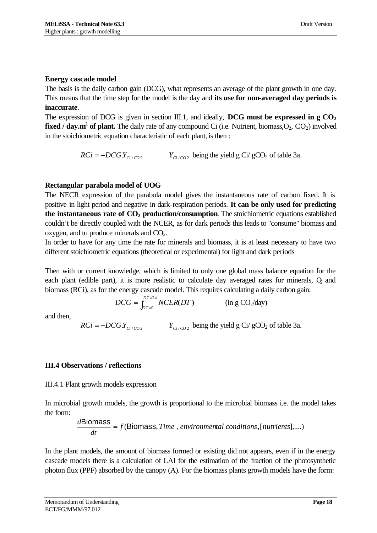#### **Energy cascade model**

The basis is the daily carbon gain (DCG), what represents an average of the plant growth in one day. This means that the time step for the model is the day and **its use for non-averaged day periods is inaccurate**.

The expression of DCG is given in section III.1, and ideally, **DCG must be expressed in g CO<sup>2</sup> fixed / day.m<sup>2</sup> of plant.** The daily rate of any compound Ci (i.e. Nutrient, biomass, O<sub>2</sub>, CO<sub>2</sub>) involved in the stoichiometric equation characteristic of each plant, is then :

> $RCi = -DCGY_{Ci/CO2}$   $Y_{Ci/CO2}$  $Y_{C_1/C_2}$  being the yield g Ci/ gCO<sub>2</sub> of table 3a.

# **Rectangular parabola model of UOG**

The NECR expression of the parabola model gives the instantaneous rate of carbon fixed. It is positive in light period and negative in dark-respiration periods. **It can be only used for predicting the instantaneous rate of CO2 production/consumption**. The stoichiometric equations established couldn't be directly coupled with the NCER, as for dark periods this leads to "consume" biomass and oxygen, and to produce minerals and  $CO<sub>2</sub>$ .

In order to have for any time the rate for minerals and biomass, it is at least necessary to have two different stoichiometric equations (theoretical or experimental) for light and dark periods

Then with or current knowledge, which is limited to only one global mass balance equation for the each plant (edible part), it is more realistic to calculate day averaged rates for minerals,  $\ddot{O}_2$  and biomass (RCi), as for the energy cascade model. This requires calculating a daily carbon gain:

$$
DCG = \int_{DT=0}^{DT=24} NCER(DT) \qquad (\text{in g CO}_2/\text{day})
$$

and then,

 $RCi = -DCGY_{Ci/CO2}$   $Y_{Ci/CO2}$  $Y_{C_1/C_2}$  being the yield g Ci/ gCO<sub>2</sub> of table 3a.

# **III.4 Observations / reflections**

#### III.4.1 Plant growth models expression

In microbial growth models, the growth is proportional to the microbial biomass i.e. the model takes the form:

$$
\frac{d\text{Biomass}}{dt} = f(\text{Biomass}, Time, environmental conditions, [nutrients],...)
$$

In the plant models, the amount of biomass formed or existing did not appears, even if in the energy cascade models there is a calculation of LAI for the estimation of the fraction of the photosynthetic photon flux (PPF) absorbed by the canopy (A). For the biomass plants growth models have the form: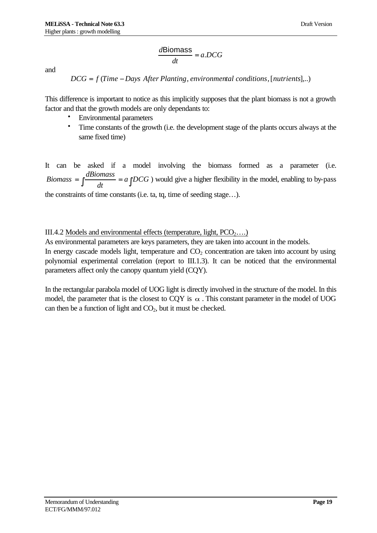$$
\frac{d\text{Biomass}}{dt} = a.DCG
$$

and

*DCG* = *f* (*Time* − *Days After Planting*, *environmental conditions*,[*nutrients*],..)

This difference is important to notice as this implicitly supposes that the plant biomass is not a growth factor and that the growth models are only dependants to:

- Environmental parameters
- Time constants of the growth (i.e. the development stage of the plants occurs always at the same fixed time)

It can be asked if a model involving the biomass formed as a parameter (i.e.  $=\int \frac{dI_{\text{D}}}{dt} = a \int DCG$ *dt Biomass* =  $\int \frac{d\text{Biomass}}{d\text{Biomass}} = a \int DCG$  ) would give a higher flexibility in the model, enabling to by-pass the constraints of time constants (i.e. ta, tq, time of seeding stage…).

#### III.4.2 Models and environmental effects (temperature, light,  $PCO_2$ ...)

As environmental parameters are keys parameters, they are taken into account in the models. In energy cascade models light, temperature and  $CO<sub>2</sub>$  concentration are taken into account by using polynomial experimental correlation (report to III.1.3). It can be noticed that the environmental parameters affect only the canopy quantum yield (CQY).

In the rectangular parabola model of UOG light is directly involved in the structure of the model. In this model, the parameter that is the closest to CQY is  $\alpha$ . This constant parameter in the model of UOG can then be a function of light and  $CO<sub>2</sub>$ , but it must be checked.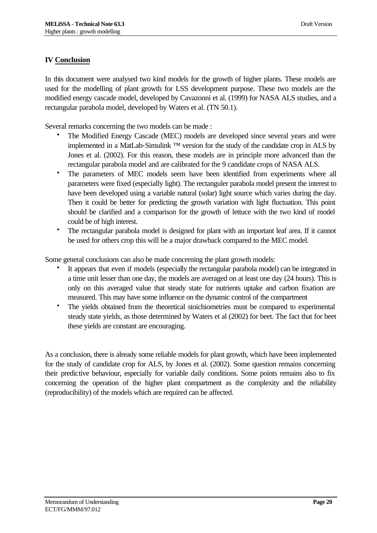## **IV Conclusion**

In this document were analysed two kind models for the growth of higher plants. These models are used for the modelling of plant growth for LSS development purpose. These two models are the modified energy cascade model, developed by Cavazonni et al. (1999) for NASA ALS studies, and a rectangular parabola model, developed by Waters et al. (TN 50.1).

Several remarks concerning the two models can be made :

- The Modified Energy Cascade (MEC) models are developed since several years and were implemented in a MatLab-Simulink ™ version for the study of the candidate crop in ALS by Jones et al. (2002). For this reason, these models are in principle more advanced than the rectangular parabola model and are calibrated for the 9 candidate crops of NASA ALS.
- The parameters of MEC models seem have been identified from experiments where all parameters were fixed (especially light). The rectanguler parabola model present the interest to have been developed using a variable natural (solar) light source which varies during the day. Then it could be better for predicting the growth variation with light fluctuation. This point should be clarified and a comparison for the growth of lettuce with the two kind of model could be of high interest.
- The rectangular parabola model is designed for plant with an important leaf area. If it cannot be used for others crop this will be a major drawback compared to the MEC model.

Some general conclusions can also be made concerning the plant growth models:

- It appears that even if models (especially the rectangular parabola model) can be integrated in a time unit lesser than one day, the models are averaged on at least one day (24 hours). This is only on this averaged value that steady state for nutrients uptake and carbon fixation are measured. This may have some influence on the dynamic control of the compartment
- The yields obtained from the theoretical stoichiometries must be compared to experimental steady state yields, as those determined by Waters et al (2002) for beet. The fact that for beet these yields are constant are encouraging.

As a conclusion, there is already some reliable models for plant growth, which have been implemented for the study of candidate crop for ALS, by Jones et al. (2002). Some question remains concerning their predictive behaviour, especially for variable daily conditions. Some points remains also to fix concerning the operation of the higher plant compartment as the complexity and the reliability (reproducibility) of the models which are required can be affected.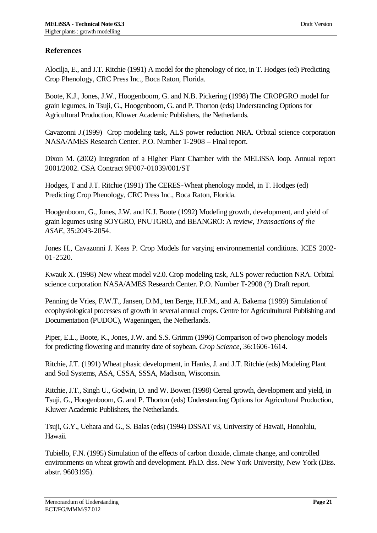# **References**

Alocilja, E., and J.T. Ritchie (1991) A model for the phenology of rice, in T. Hodges (ed) Predicting Crop Phenology, CRC Press Inc., Boca Raton, Florida.

Boote, K.J., Jones, J.W., Hoogenboom, G. and N.B. Pickering (1998) The CROPGRO model for grain legumes, in Tsuji, G., Hoogenboom, G. and P. Thorton (eds) Understanding Options for Agricultural Production, Kluwer Academic Publishers, the Netherlands.

Cavazonni J.(1999) Crop modeling task, ALS power reduction NRA. Orbital science corporation NASA/AMES Research Center. P.O. Number T-2908 – Final report.

Dixon M. (2002) Integration of a Higher Plant Chamber with the MELiSSA loop. Annual report 2001/2002. CSA Contract 9F007-01039/001/ST

Hodges, T and J.T. Ritchie (1991) The CERES-Wheat phenology model, in T. Hodges (ed) Predicting Crop Phenology, CRC Press Inc., Boca Raton, Florida.

Hoogenboom, G., Jones, J.W. and K.J. Boote (1992) Modeling growth, development, and yield of grain legumes using SOYGRO, PNUTGRO, and BEANGRO: A review, *Transactions of the ASAE,* 35:2043-2054.

Jones H., Cavazonni J. Keas P. Crop Models for varying environnemental conditions. ICES 2002- 01-2520.

Kwauk X. (1998) New wheat model v2.0. Crop modeling task, ALS power reduction NRA. Orbital science corporation NASA/AMES Research Center. P.O. Number T-2908 (?) Draft report.

Penning de Vries, F.W.T., Jansen, D.M., ten Berge, H.F.M., and A. Bakema (1989) Simulation of ecophysiological processes of growth in several annual crops. Centre for Agricultultural Publishing and Documentation (PUDOC), Wageningen, the Netherlands.

Piper, E.L., Boote, K., Jones, J.W. and S.S. Grimm (1996) Comparison of two phenology models for predicting flowering and maturity date of soybean. *Crop Science*, 36:1606-1614.

Ritchie, J.T. (1991) Wheat phasic development, in Hanks, J. and J.T. Ritchie (eds) Modeling Plant and Soil Systems, ASA, CSSA, SSSA, Madison, Wisconsin.

Ritchie, J.T., Singh U., Godwin, D. and W. Bowen (1998) Cereal growth, development and yield, in Tsuji, G., Hoogenboom, G. and P. Thorton (eds) Understanding Options for Agricultural Production, Kluwer Academic Publishers, the Netherlands.

Tsuji, G.Y., Uehara and G., S. Balas (eds) (1994) DSSAT v3, University of Hawaii, Honolulu, Hawaii.

Tubiello, F.N. (1995) Simulation of the effects of carbon dioxide, climate change, and controlled environments on wheat growth and development. Ph.D. diss. New York University, New York (Diss. abstr. 9603195).